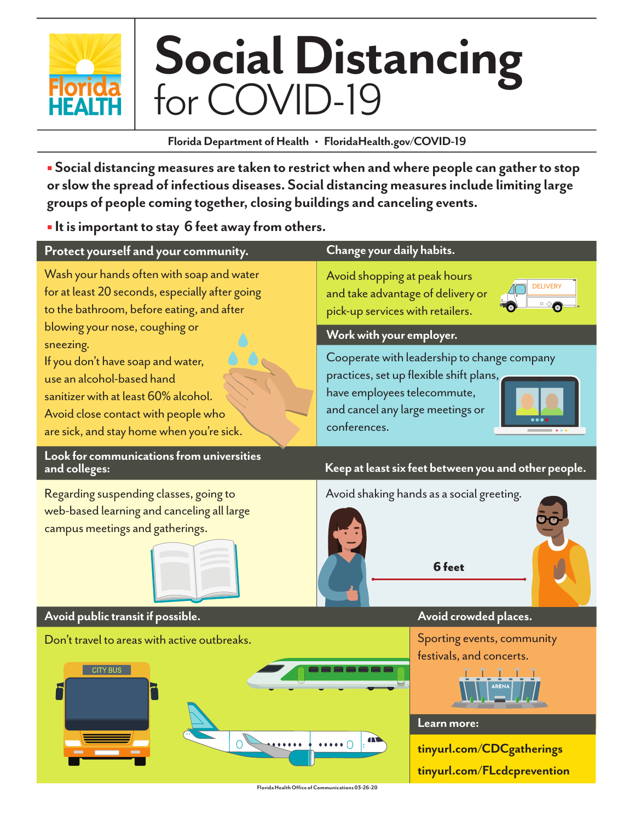

# **Social Distancing** for COVID-19

**Florida Department of Health • FloridaHealth.gov/COVID-19**

**B** Social distancing measures are taken to restrict when and where people can gather to stop **or slow the spread of infectious diseases. Social distancing measures include limiting large groups of people coming together, closing buildings and canceling events.**

 **It is important to stay 6 feet away from others.** 

| Protect yourself and your community.                                                                                                                                                                                                                                                                                                                                                   | Change your daily habits.                                                                                                                                                 |
|----------------------------------------------------------------------------------------------------------------------------------------------------------------------------------------------------------------------------------------------------------------------------------------------------------------------------------------------------------------------------------------|---------------------------------------------------------------------------------------------------------------------------------------------------------------------------|
| Wash your hands often with soap and water<br>for at least 20 seconds, especially after going<br>to the bathroom, before eating, and after<br>blowing your nose, coughing or<br>sneezing.<br>If you don't have soap and water,<br>use an alcohol-based hand<br>sanitizer with at least 60% alcohol.<br>Avoid close contact with people who<br>are sick, and stay home when you're sick. | Avoid shopping at peak hours<br><b>DELIVER</b><br>and take advantage of delivery or<br>pick-up services with retailers.                                                   |
|                                                                                                                                                                                                                                                                                                                                                                                        | Work with your employer.                                                                                                                                                  |
|                                                                                                                                                                                                                                                                                                                                                                                        | Cooperate with leadership to change company<br>practices, set up flexible shift plans,<br>have employees telecommute,<br>and cancel any large meetings or<br>conferences. |
| Look for communications from universities<br>and colleges:                                                                                                                                                                                                                                                                                                                             | Keep at least six feet between you and other people.                                                                                                                      |
| Regarding suspending classes, going to<br>web-based learning and canceling all large<br>campus meetings and gatherings.                                                                                                                                                                                                                                                                | Avoid shaking hands as a social greeting.<br>6 feet                                                                                                                       |
| Avoid public transit if possible.                                                                                                                                                                                                                                                                                                                                                      | Avoid crowded places.                                                                                                                                                     |
| Don't travel to areas with active outbreaks.<br><b>CITY BUS</b>                                                                                                                                                                                                                                                                                                                        | Sporting events, community<br>festivals, and concerts.                                                                                                                    |
|                                                                                                                                                                                                                                                                                                                                                                                        | Learn more:<br>$\cdots$                                                                                                                                                   |
|                                                                                                                                                                                                                                                                                                                                                                                        | tinyurl.com/CDCgatherings<br>tinyurl.com/FLcdcprevention                                                                                                                  |
|                                                                                                                                                                                                                                                                                                                                                                                        | Florida Health Office of Communications 03-26-20                                                                                                                          |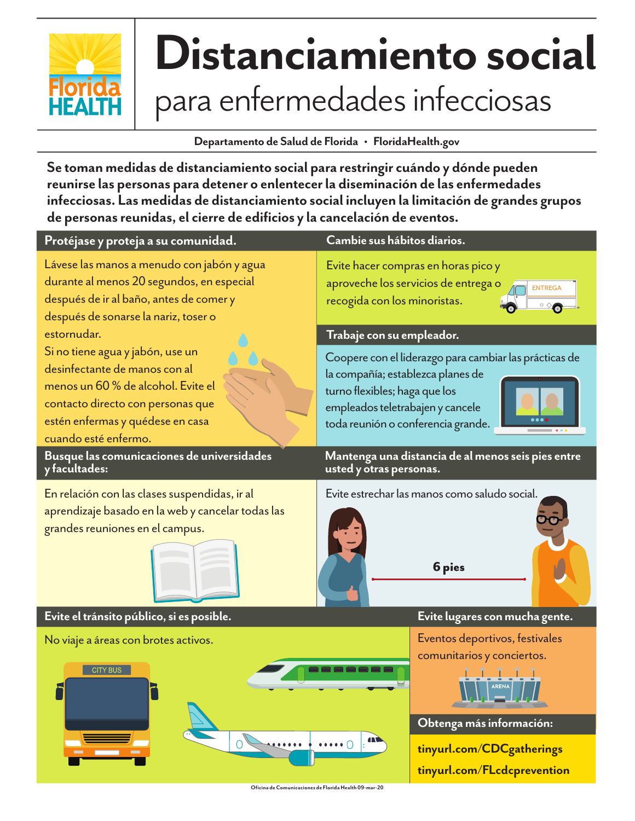

## **Distanciamiento social** para enfermedades infecciosas

**Departamento de Salud de Florida • FloridaHealth.gov**

**Se toman medidas de distanciamiento social para restringir cuándo y dónde pueden reunirse las personas para detener o enlentecer la diseminación de las enfermedades infecciosas. Las medidas de distanciamiento social incluyen la limitación de grandes grupos de personas reunidas, el cierre de edificios y la cancelación de eventos.** 

| Protéjase y proteja a su comunidad.                                                                                                                                                                      | Cambie sus hábitos diarios.                                                                                                                                                                            |
|----------------------------------------------------------------------------------------------------------------------------------------------------------------------------------------------------------|--------------------------------------------------------------------------------------------------------------------------------------------------------------------------------------------------------|
| Lávese las manos a menudo con jabón y agua<br>durante al menos 20 segundos, en especial<br>después de ir al baño, antes de comer y<br>después de sonarse la nariz, toser o                               | Evite hacer compras en horas pico y<br>aproveche los servicios de entrega o<br><b>ENTREGA</b><br>recogida con los minoristas.                                                                          |
| estornudar.                                                                                                                                                                                              | Trabaje con su empleador.                                                                                                                                                                              |
| Si no tiene agua y jabón, use un<br>desinfectante de manos con al<br>menos un 60 % de alcohol. Evite el<br>contacto directo con personas que<br>estén enfermas y quédese en casa<br>cuando esté enfermo. | Coopere con el liderazgo para cambiar las prácticas de<br>la compañía; establezca planes de<br>turno flexibles; haga que los<br>empleados teletrabajen y cancele<br>toda reunión o conferencia grande. |
| Busque las comunicaciones de universidades<br>y facultades:                                                                                                                                              | Mantenga una distancia de al menos seis pies entre<br>usted y otras personas.                                                                                                                          |
| En relación con las clases suspendidas, ir al<br>aprendizaje basado en la web y cancelar todas las<br>grandes reuniones en el campus.                                                                    | Evite estrechar las manos como saludo social.<br><b>6 pies</b>                                                                                                                                         |
| Evite el tránsito público, si es posible.                                                                                                                                                                | Evite lugares con mucha gente.                                                                                                                                                                         |
| No viaje a áreas con brotes activos.                                                                                                                                                                     | Eventos deportivos, festivales<br>comunitarios y conciertos.                                                                                                                                           |
| <b>CITY BUS</b>                                                                                                                                                                                          | Obtenga más información:<br>tinyurl.com/CDCgatherings                                                                                                                                                  |

**tinyurl.com/FLcdcprevention**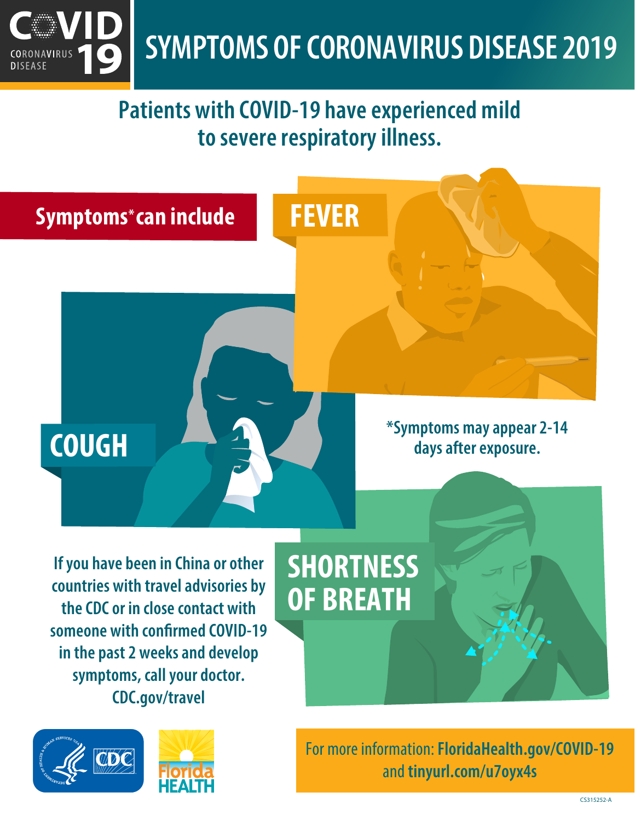

#### **Patients with COVID-19 have experienced mild to severe respiratory illness.**



**CDC.gov/travel**



For more information: **FloridaHealth.gov/COVID-19** and **tinyurl.com/u7oyx4s**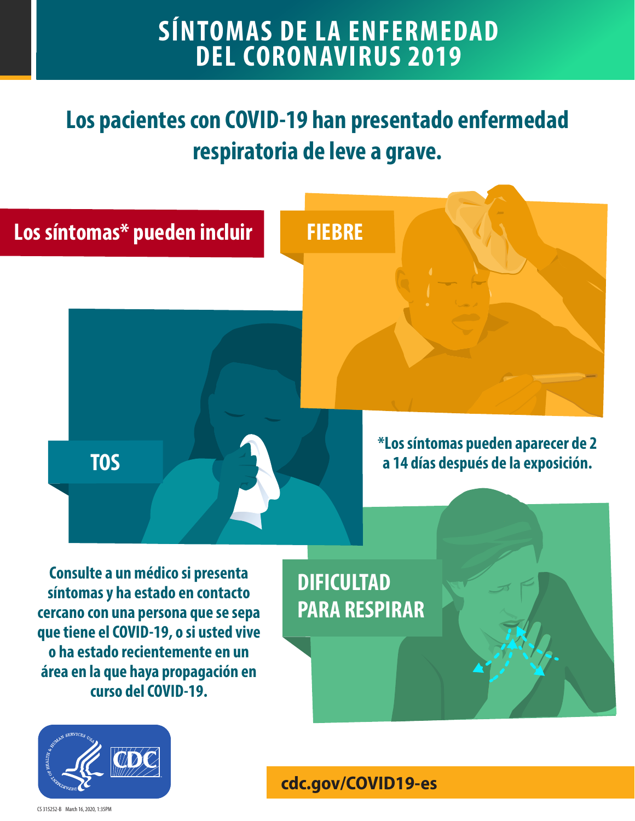#### **SÍNTOMAS DE LA ENFERMEDAD DEL CORONAVIRUS 2019**

### **Los pacientes con COVID-19 han presentado enfermedad respiratoria de leve a grave.**



**que tiene el COVID-19, o si usted vive o ha estado recientemente en un área en la que haya propagación en curso del COVID-19.**

**[cdc.gov/COVID19-es](http://www.cdc.gov/COVID19-es)**

**after exposure.**

CS 315252-B March 16, 2020, 1:35PM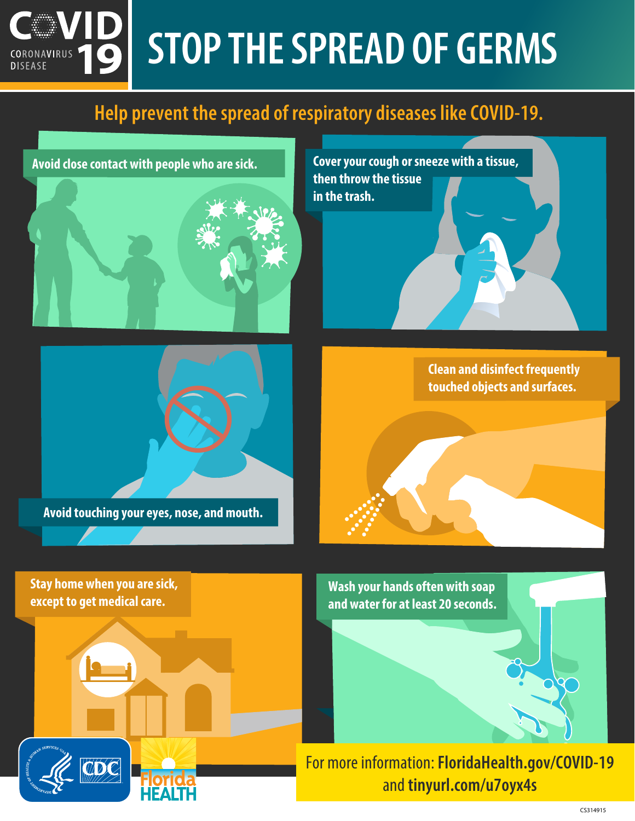#### **STOP THE SPREAD OF GERMS** CORONAVIRUS **DISEASE**

#### Help prevent the spread of respiratory diseases like COVID-19.

**Avoid close contact with people who are sick.** 



**Avoid touching your eyes, nose, and mouth.** 

**Stay home when you are sick, except to get medical care.**

UDC

**Cover your cough or sneeze with a tissue, then throw the tissue in the trash.**

**Clean and disinfect frequently touched objects and surfaces.**

**Wash your hands often with soap and water for at least 20 seconds.**

For more information: **FloridaHealth.gov/COVID-19** and **tinyurl.com/u7oyx4s**